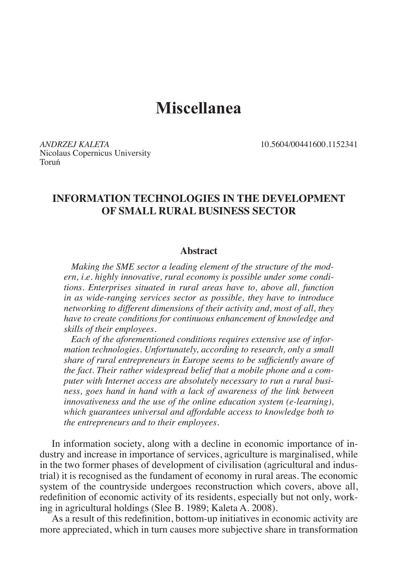# **Miscellanea**

*ANDRZEJ KALETA* 10.5604/00441600.1152341 Nicolaus Copernicus University Toruń

# **INFORMATION TECHNOLOGIES IN THE DEVELOPMENT OF SMALL RURAL BUSINESS SECTOR**

#### **Abstract**

*Making the SME sector a leading element of the structure of the modern, i.e. highly innovative, rural economy is possible under some conditions. Enterprises situated in rural areas have to, above all, function in as wide-ranging services sector as possible, they have to introduce networking to different dimensions of their activity and, most of all, they have to create conditions for continuous enhancement of knowledge and skills of their employees.*

*Each of the aforementioned conditions requires extensive use of information technologies. Unfortunately, according to research, only a small share of rural entrepreneurs in Europe seems to be sufficiently aware of the fact. Their rather widespread belief that a mobile phone and a computer with Internet access are absolutely necessary to run a rural business, goes hand in hand with a lack of awareness of the link between innovativeness and the use of the online education system (e-learning), which guarantees universal and affordable access to knowledge both to the entrepreneurs and to their employees.*

In information society, along with a decline in economic importance of industry and increase in importance of services, agriculture is marginalised, while in the two former phases of development of civilisation (agricultural and industrial) it is recognised as the fundament of economy in rural areas. The economic system of the countryside undergoes reconstruction which covers, above all, redefinition of economic activity of its residents, especially but not only, working in agricultural holdings (Slee B. 1989; Kaleta A. 2008).

As a result of this redefinition, bottom-up initiatives in economic activity are more appreciated, which in turn causes more subjective share in transformation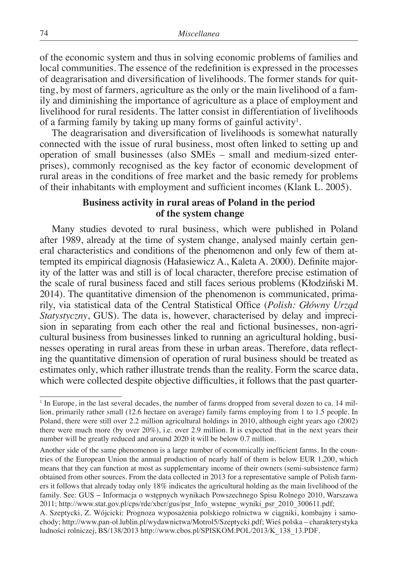of the economic system and thus in solving economic problems of families and local communities. The essence of the redefinition is expressed in the processes of deagrarisation and diversification of livelihoods. The former stands for quitting, by most of farmers, agriculture as the only or the main livelihood of a family and diminishing the importance of agriculture as a place of employment and livelihood for rural residents. The latter consist in differentiation of livelihoods of a farming family by taking up many forms of gainful activity $^1$ .

The deagrarisation and diversification of livelihoods is somewhat naturally connected with the issue of rural business, most often linked to setting up and operation of small businesses (also SMEs – small and medium-sized enterprises), commonly recognised as the key factor of economic development of rural areas in the conditions of free market and the basic remedy for problems of their inhabitants with employment and sufficient incomes (Klank L. 2005).

## **Business activity in rural areas of Poland in the period of the system change**

Many studies devoted to rural business, which were published in Poland after 1989, already at the time of system change, analysed mainly certain general characteristics and conditions of the phenomenon and only few of them attempted its empirical diagnosis (Hałasiewicz A., Kaleta A. 2000). Definite majority of the latter was and still is of local character, therefore precise estimation of the scale of rural business faced and still faces serious problems (Kłodziński M. 2014). The quantitative dimension of the phenomenon is communicated, primarily, via statistical data of the Central Statistical Office (*Polish: Główny Urząd Statystyczny*, GUS). The data is, however, characterised by delay and imprecision in separating from each other the real and fictional businesses, non-agricultural business from businesses linked to running an agricultural holding, businesses operating in rural areas from these in urban areas. Therefore, data reflecting the quantitative dimension of operation of rural business should be treated as estimates only, which rather illustrate trends than the reality. Form the scarce data, which were collected despite objective difficulties, it follows that the past quarter-

<sup>&</sup>lt;sup>1</sup> In Europe, in the last several decades, the number of farms dropped from several dozen to ca. 14 million, primarily rather small (12.6 hectare on average) family farms employing from 1 to 1.5 people. In Poland, there were still over 2.2 million agricultural holdings in 2010, although eight years ago (2002) there were much more (by over 20%), i.e. over 2.9 million. It is expected that in the next years their number will be greatly reduced and around 2020 it will be below 0.7 million.

Another side of the same phenomenon is a large number of economically inefficient farms. In the countries of the European Union the annual production of nearly half of them is below EUR 1,200, which means that they can function at most as supplementary income of their owners (semi-subsistence farm) obtained from other sources. From the data collected in 2013 for a representative sample of Polish farmers it follows that already today only 18% indicates the agricultural holding as the main livelihood of the family. See: GUS − Informacja o wstępnych wynikach Powszechnego Spisu Rolnego 2010, Warszawa 2011; http://www.stat.gov.pl/cps/rde/xbcr/gus/psr\_Info\_wstepne\_wyniki\_psr\_2010\_300611.pdf;

A. Szeptycki, Z. Wójcicki: Prognoza wyposażenia polskiego rolnictwa w ciągniki, kombajny i samochody; http://www.pan-ol.lublin.pl/wydawnictwa/Motrol5/Szeptycki.pdf; Wieś polska – charakterystyka ludności rolniczej, BS/138/2013 http://www.cbos.pl/SPISKOM.POL/2013/K\_138\_13.PDF.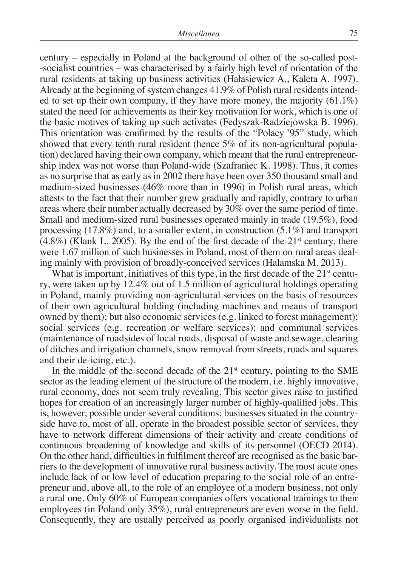century – especially in Poland at the background of other of the so-called post- -socialist countries – was characterised by a fairly high level of orientation of the rural residents at taking up business activities (Hałasiewicz A., Kaleta A. 1997). Already at the beginning of system changes 41.9% of Polish rural residents intended to set up their own company, if they have more money, the majority  $(61.1\%)$ stated the need for achievements as their key motivation for work, which is one of the basic motives of taking up such activates (Fedyszak-Radziejowska B. 1996). This orientation was confirmed by the results of the "Polacy '95" study, which showed that every tenth rural resident (hence 5% of its non-agricultural population) declared having their own company, which meant that the rural entrepreneurship index was not worse than Poland-wide (Szafraniec K. 1998). Thus, it comes as no surprise that as early as in 2002 there have been over 350 thousand small and medium-sized businesses (46% more than in 1996) in Polish rural areas, which attests to the fact that their number grew gradually and rapidly, contrary to urban areas where their number actually decreased by 30% over the same period of time. Small and medium-sized rural businesses operated mainly in trade (19.5%), food processing (17.8%) and, to a smaller extent, in construction (5.1%) and transport  $(4.8\%)$  (Klank L. 2005). By the end of the first decade of the  $21<sup>st</sup>$  century, there were 1.67 million of such businesses in Poland, most of them on rural areas dealing mainly with provision of broadly-conceived services (Halamska M. 2013).

What is important, initiatives of this type, in the first decade of the  $21<sup>st</sup>$  century, were taken up by 12.4% out of 1.5 million of agricultural holdings operating in Poland, mainly providing non-agricultural services on the basis of resources of their own agricultural holding (including machines and means of transport owned by them); but also economic services (e.g. linked to forest management); social services (e.g. recreation or welfare services); and communal services (maintenance of roadsides of local roads, disposal of waste and sewage, clearing of ditches and irrigation channels, snow removal from streets, roads and squares and their de-icing, etc.).

In the middle of the second decade of the  $21<sup>st</sup>$  century, pointing to the SME sector as the leading element of the structure of the modern, i.e. highly innovative, rural economy, does not seem truly revealing. This sector gives raise to justified hopes for creation of an increasingly larger number of highly-qualified jobs. This is, however, possible under several conditions: businesses situated in the countryside have to, most of all, operate in the broadest possible sector of services, they have to network different dimensions of their activity and create conditions of continuous broadening of knowledge and skills of its personnel (OECD 2014). On the other hand, difficulties in fulfilment thereof are recognised as the basic barriers to the development of innovative rural business activity. The most acute ones include lack of or low level of education preparing to the social role of an entrepreneur and, above all, to the role of an employee of a modern business, not only a rural one. Only 60% of European companies offers vocational trainings to their employees (in Poland only 35%), rural entrepreneurs are even worse in the field. Consequently, they are usually perceived as poorly organised individualists not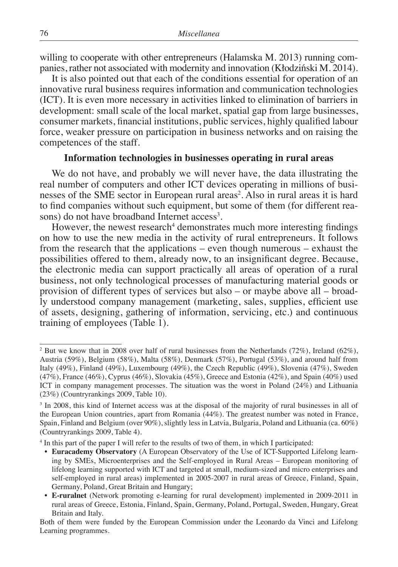willing to cooperate with other entrepreneurs (Halamska M. 2013) running companies, rather not associated with modernity and innovation (Kłodziński M. 2014).

It is also pointed out that each of the conditions essential for operation of an innovative rural business requires information and communication technologies (ICT). It is even more necessary in activities linked to elimination of barriers in development: small scale of the local market, spatial gap from large businesses, consumer markets, financial institutions, public services, highly qualified labour force, weaker pressure on participation in business networks and on raising the competences of the staff.

#### **Information technologies in businesses operating in rural areas**

We do not have, and probably we will never have, the data illustrating the real number of computers and other ICT devices operating in millions of businesses of the SME sector in European rural areas<sup>2</sup>. Also in rural areas it is hard to find companies without such equipment, but some of them (for different reasons) do not have broadband Internet access<sup>3</sup>.

However, the newest research<sup>4</sup> demonstrates much more interesting findings on how to use the new media in the activity of rural entrepreneurs. It follows from the research that the applications – even though numerous – exhaust the possibilities offered to them, already now, to an insignificant degree. Because, the electronic media can support practically all areas of operation of a rural business, not only technological processes of manufacturing material goods or provision of different types of services but also – or maybe above all – broadly understood company management (marketing, sales, supplies, efficient use of assets, designing, gathering of information, servicing, etc.) and continuous training of employees (Table 1).

<sup>&</sup>lt;sup>2</sup> But we know that in 2008 over half of rural businesses from the Netherlands (72%), Ireland (62%), Austria (59%), Belgium (58%), Malta (58%), Denmark (57%), Portugal (53%), and around half from Italy (49%), Finland (49%), Luxembourg (49%), the Czech Republic (49%), Slovenia (47%), Sweden (47%), France (46%), Cyprus (46%), Slovakia (45%), Greece and Estonia (42%), and Spain (40%) used ICT in company management processes. The situation was the worst in Poland (24%) and Lithuania (23%) (Countryrankings 2009, Table 10).

<sup>&</sup>lt;sup>3</sup> In 2008, this kind of Internet access was at the disposal of the majority of rural businesses in all of the European Union countries, apart from Romania (44%). The greatest number was noted in France, Spain, Finland and Belgium (over 90%), slightly less in Latvia, Bulgaria, Poland and Lithuania (ca. 60%) (Countryrankings 2009, Table 4).

<sup>4</sup> In this part of the paper I will refer to the results of two of them, in which I participated:

<sup>•</sup> **Euracademy Observatory** (A European Observatory of the Use of ICT-Supported Lifelong learning by SMEs, Microenterprises and the Self-employed in Rural Areas – European monitoring of lifelong learning supported with ICT and targeted at small, medium-sized and micro enterprises and self-employed in rural areas) implemented in 2005-2007 in rural areas of Greece, Finland, Spain, Germany, Poland, Great Britain and Hungary;

<sup>•</sup> **E-ruralnet** (Network promoting e-learning for rural development) implemented in 2009-2011 in rural areas of Greece, Estonia, Finland, Spain, Germany, Poland, Portugal, Sweden, Hungary, Great Britain and Italy.

Both of them were funded by the European Commission under the Leonardo da Vinci and Lifelong Learning programmes.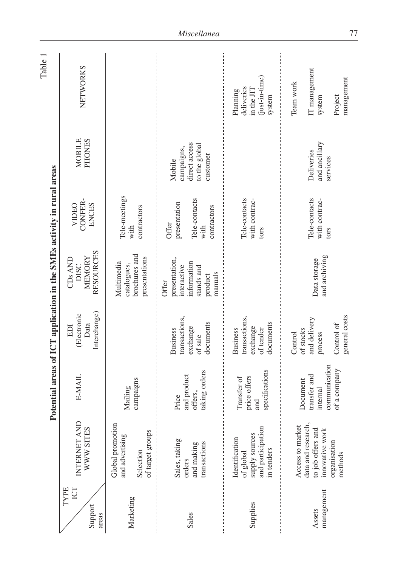|                                        |                                                                                                                                     |                                                                              |                                                                                | Potential areas of ICT application in the SMEs activity in rural areas                   |                                                                      |                                                                    | Table 1                                                            |
|----------------------------------------|-------------------------------------------------------------------------------------------------------------------------------------|------------------------------------------------------------------------------|--------------------------------------------------------------------------------|------------------------------------------------------------------------------------------|----------------------------------------------------------------------|--------------------------------------------------------------------|--------------------------------------------------------------------|
| <b>TYPE</b><br>ICT<br>Support<br>areas | $\oplus$<br>WWW SITES<br>INTERNET A                                                                                                 | <b>E-MAIL</b>                                                                | Interchange)<br><b>Electronic</b><br>Data<br>EDI                               | RESOURCES<br><b>MEMORY</b><br>$CDs$ AND<br>DISC                                          | CONFER-<br>VIDEO<br>ENCES                                            | <b>MOBILE</b><br>PHONES                                            | NETWORKS                                                           |
| Marketing                              | Global promotion<br>of target groups<br>and advertising<br>Selection                                                                | campaigns<br>Mailing                                                         |                                                                                | brochures and<br>presentations<br>Multimedia<br>catalogues,                              | Tele-meetings<br>contractors<br>with                                 |                                                                    |                                                                    |
| Sales                                  | Sales, taking<br>transactions<br>and making<br>orders                                                                               | taking orders<br>and product<br>offers,<br>Price                             | transactions,<br>documents<br>exchange<br>Business<br>of sale                  | presentation,<br>information<br>interactive<br>stands and<br>manuals<br>product<br>Offer | Tele-contacts<br>presentation<br>contractors<br><b>Offer</b><br>with | direct access<br>to the global<br>campaigns,<br>customer<br>Mobile |                                                                    |
| Supplies                               | and participation<br>supply sources<br>Identification<br>in tenders<br>of global                                                    | specifications<br>price offers<br>Transfer of<br>and                         | transactions,<br>documents<br>exchange<br>of tender<br><b>Business</b>         |                                                                                          | lele-contacts<br>with contrac-<br>tors                               |                                                                    | $(just-in-time)$<br>deliveries<br>in the JIT<br>Planning<br>system |
| management<br>Assets                   | Access to market<br>data and research,<br>to job offers and<br>$\overline{\mathbf{y}}$<br>innovative wor<br>organisation<br>methods | communication<br>of a company<br>transfer and<br><b>Document</b><br>internal | general costs<br>and delivery<br>Control of<br>of stocks<br>Control<br>process | and archiving<br>Data storage                                                            | Tele-contacts<br>with contrac-<br>tors                               | and ancillary<br>Deliveries<br>services                            | IT management<br>management<br>Team work<br>Project<br>system      |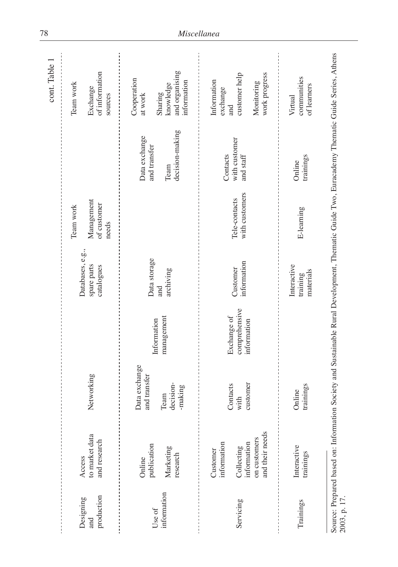|                                |                                                              |                               |                                             |                                               |                                    |                               | cont. Table                                                                                                                                    |
|--------------------------------|--------------------------------------------------------------|-------------------------------|---------------------------------------------|-----------------------------------------------|------------------------------------|-------------------------------|------------------------------------------------------------------------------------------------------------------------------------------------|
|                                |                                                              |                               |                                             |                                               | Team work                          |                               | Team work                                                                                                                                      |
| production<br>Designing<br>and | to market data<br>and research<br>Access                     | Networking                    |                                             | Databases, e.g.,<br>spare parts<br>catalogues | Management<br>of customer<br>needs |                               | of information<br>Exchange<br>sources                                                                                                          |
|                                | publication<br>Online                                        | Data exchange<br>and transfer |                                             | Data storage                                  |                                    | Data exchange<br>and transfer | Cooperation<br>at work                                                                                                                         |
| information<br>Use of          | Marketing<br>research                                        | decision-<br>-making<br>Team  | management<br>Information                   | archiving<br>and                              |                                    | decision-making<br>Team       | and organising<br>information<br>knowledge<br>Sharing                                                                                          |
|                                | information<br>Customer                                      |                               |                                             |                                               |                                    | Contacts                      | Information<br>exchange                                                                                                                        |
| Servicing                      | and their needs<br>on customers<br>information<br>Collecting | customer<br>Contacts<br>with  | comprehensive<br>Exchange of<br>information | information<br>Customer                       | with customers<br>Tele-contacts    | with customer<br>and staff    | work progress<br>customer help<br>Monitoring<br>and                                                                                            |
| Trainings                      | Interactive<br>trainings                                     | trainings<br>Online           |                                             | Interactive<br>materials<br>training          | E-learning                         | trainings<br>Online           | communities<br>of learners<br>Virtual                                                                                                          |
| 2003, p. 17.                   |                                                              |                               |                                             |                                               |                                    |                               | Source: Prepared based on: Information Society and Sustainable Rural Development, Thematic Guide Two, Euracademy Thematic Guide Series, Athens |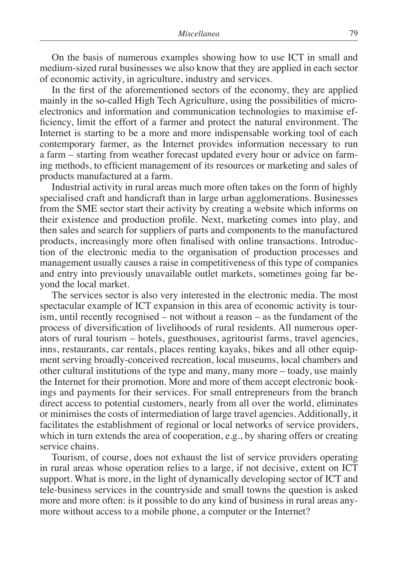On the basis of numerous examples showing how to use ICT in small and medium-sized rural businesses we also know that they are applied in each sector of economic activity, in agriculture, industry and services.

In the first of the aforementioned sectors of the economy, they are applied mainly in the so-called High Tech Agriculture, using the possibilities of microelectronics and information and communication technologies to maximise efficiency, limit the effort of a farmer and protect the natural environment. The Internet is starting to be a more and more indispensable working tool of each contemporary farmer, as the Internet provides information necessary to run a farm – starting from weather forecast updated every hour or advice on farming methods, to efficient management of its resources or marketing and sales of products manufactured at a farm.

Industrial activity in rural areas much more often takes on the form of highly specialised craft and handicraft than in large urban agglomerations. Businesses from the SME sector start their activity by creating a website which informs on their existence and production profile. Next, marketing comes into play, and then sales and search for suppliers of parts and components to the manufactured products, increasingly more often finalised with online transactions. Introduction of the electronic media to the organisation of production processes and management usually causes a raise in competitiveness of this type of companies and entry into previously unavailable outlet markets, sometimes going far beyond the local market.

The services sector is also very interested in the electronic media. The most spectacular example of ICT expansion in this area of economic activity is tourism, until recently recognised – not without a reason – as the fundament of the process of diversification of livelihoods of rural residents. All numerous operators of rural tourism – hotels, guesthouses, agritourist farms, travel agencies, inns, restaurants, car rentals, places renting kayaks, bikes and all other equipment serving broadly-conceived recreation, local museums, local chambers and other cultural institutions of the type and many, many more – toady, use mainly the Internet for their promotion. More and more of them accept electronic bookings and payments for their services. For small entrepreneurs from the branch direct access to potential customers, nearly from all over the world, eliminates or minimises the costs of intermediation of large travel agencies. Additionally, it facilitates the establishment of regional or local networks of service providers, which in turn extends the area of cooperation, e.g., by sharing offers or creating service chains.

Tourism, of course, does not exhaust the list of service providers operating in rural areas whose operation relies to a large, if not decisive, extent on ICT support. What is more, in the light of dynamically developing sector of ICT and tele-business services in the countryside and small towns the question is asked more and more often: is it possible to do any kind of business in rural areas anymore without access to a mobile phone, a computer or the Internet?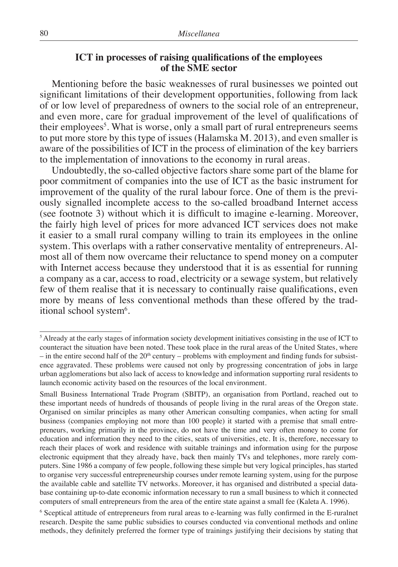# **ICT in processes of raising qualifications of the employees of the SME sector**

Mentioning before the basic weaknesses of rural businesses we pointed out significant limitations of their development opportunities, following from lack of or low level of preparedness of owners to the social role of an entrepreneur, and even more, care for gradual improvement of the level of qualifications of their employees<sup>5</sup>. What is worse, only a small part of rural entrepreneurs seems to put more store by this type of issues (Halamska M. 2013), and even smaller is aware of the possibilities of ICT in the process of elimination of the key barriers to the implementation of innovations to the economy in rural areas.

Undoubtedly, the so-called objective factors share some part of the blame for poor commitment of companies into the use of ICT as the basic instrument for improvement of the quality of the rural labour force. One of them is the previously signalled incomplete access to the so-called broadband Internet access (see footnote 3) without which it is difficult to imagine e-learning. Moreover, the fairly high level of prices for more advanced ICT services does not make it easier to a small rural company willing to train its employees in the online system. This overlaps with a rather conservative mentality of entrepreneurs. Almost all of them now overcame their reluctance to spend money on a computer with Internet access because they understood that it is as essential for running a company as a car, access to road, electricity or a sewage system, but relatively few of them realise that it is necessary to continually raise qualifications, even more by means of less conventional methods than these offered by the traditional school system<sup>6</sup>.

<sup>&</sup>lt;sup>5</sup> Already at the early stages of information society development initiatives consisting in the use of ICT to counteract the situation have been noted. These took place in the rural areas of the United States, where – in the entire second half of the  $20<sup>th</sup>$  century – problems with employment and finding funds for subsistence aggravated. These problems were caused not only by progressing concentration of jobs in large urban agglomerations but also lack of access to knowledge and information supporting rural residents to launch economic activity based on the resources of the local environment.

Small Business International Trade Program (SBITP), an organisation from Portland, reached out to these important needs of hundreds of thousands of people living in the rural areas of the Oregon state. Organised on similar principles as many other American consulting companies, when acting for small business (companies employing not more than 100 people) it started with a premise that small entrepreneurs, working primarily in the province, do not have the time and very often money to come for education and information they need to the cities, seats of universities, etc. It is, therefore, necessary to reach their places of work and residence with suitable trainings and information using for the purpose electronic equipment that they already have, back then mainly TVs and telephones, more rarely computers. Sine 1986 a company of few people, following these simple but very logical principles, has started to organise very successful entrepreneurship courses under remote learning system, using for the purpose the available cable and satellite TV networks. Moreover, it has organised and distributed a special database containing up-to-date economic information necessary to run a small business to which it connected computers of small entrepreneurs from the area of the entire state against a small fee (Kaleta A. 1996).

<sup>6</sup> Sceptical attitude of entrepreneurs from rural areas to e-learning was fully confirmed in the E-ruralnet research. Despite the same public subsidies to courses conducted via conventional methods and online methods, they definitely preferred the former type of trainings justifying their decisions by stating that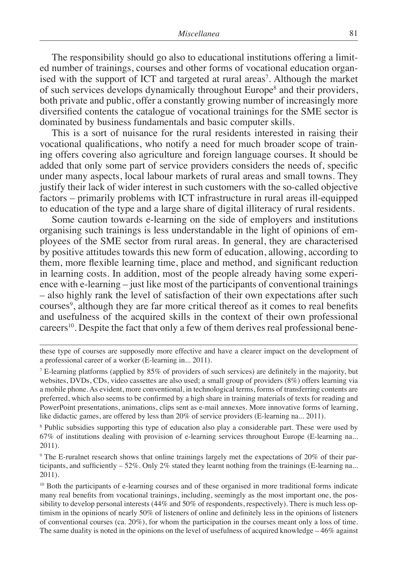The responsibility should go also to educational institutions offering a limited number of trainings, courses and other forms of vocational education organised with the support of ICT and targeted at rural areas<sup>7</sup>. Although the market of such services develops dynamically throughout Europe<sup>8</sup> and their providers, both private and public, offer a constantly growing number of increasingly more diversified contents the catalogue of vocational trainings for the SME sector is dominated by business fundamentals and basic computer skills.

This is a sort of nuisance for the rural residents interested in raising their vocational qualifications, who notify a need for much broader scope of training offers covering also agriculture and foreign language courses. It should be added that only some part of service providers considers the needs of, specific under many aspects, local labour markets of rural areas and small towns. They justify their lack of wider interest in such customers with the so-called objective factors – primarily problems with ICT infrastructure in rural areas ill-equipped to education of the type and a large share of digital illiteracy of rural residents.

Some caution towards e-learning on the side of employers and institutions organising such trainings is less understandable in the light of opinions of employees of the SME sector from rural areas. In general, they are characterised by positive attitudes towards this new form of education, allowing, according to them, more flexible learning time, place and method, and significant reduction in learning costs. In addition, most of the people already having some experience with e-learning – just like most of the participants of conventional trainings – also highly rank the level of satisfaction of their own expectations after such courses<sup>9</sup>, although they are far more critical thereof as it comes to real benefits and usefulness of the acquired skills in the context of their own professional careers<sup>10</sup>. Despite the fact that only a few of them derives real professional bene-

<sup>8</sup> Public subsidies supporting this type of education also play a considerable part. These were used by 67% of institutions dealing with provision of e-learning services throughout Europe (E-learning na... 2011).

9 The E-ruralnet research shows that online trainings largely met the expectations of 20% of their participants, and sufficiently – 52%. Only 2% stated they learnt nothing from the trainings (E-learning na... 2011).

<sup>10</sup> Both the participants of e-learning courses and of these organised in more traditional forms indicate many real benefits from vocational trainings, including, seemingly as the most important one, the possibility to develop personal interests (44% and 50% of respondents, respectively). There is much less optimism in the opinions of nearly 50% of listeners of online and definitely less in the opinions of listeners of conventional courses (ca. 20%), for whom the participation in the courses meant only a loss of time. The same duality is noted in the opinions on the level of usefulness of acquired knowledge  $-46\%$  against

these type of courses are supposedly more effective and have a clearer impact on the development of a professional career of a worker (E-learning in... 2011).

<sup>7</sup> E-learning platforms (applied by 85% of providers of such services) are definitely in the majority, but websites, DVDs, CDs, video cassettes are also used; a small group of providers (8%) offers learning via a mobile phone. As evident, more conventional, in technological terms, forms of transferring contents are preferred, which also seems to be confirmed by a high share in training materials of texts for reading and PowerPoint presentations, animations, clips sent as e-mail annexes. More innovative forms of learning, like didactic games, are offered by less than 20% of service providers (E-learning na... 2011).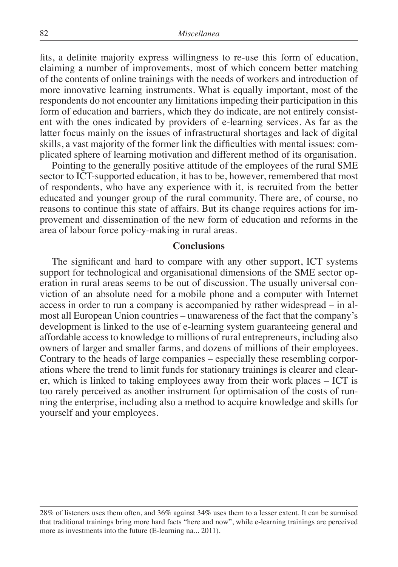fits, a definite majority express willingness to re-use this form of education, claiming a number of improvements, most of which concern better matching of the contents of online trainings with the needs of workers and introduction of more innovative learning instruments. What is equally important, most of the respondents do not encounter any limitations impeding their participation in this form of education and barriers, which they do indicate, are not entirely consistent with the ones indicated by providers of e-learning services. As far as the latter focus mainly on the issues of infrastructural shortages and lack of digital skills, a vast majority of the former link the difficulties with mental issues: complicated sphere of learning motivation and different method of its organisation.

Pointing to the generally positive attitude of the employees of the rural SME sector to ICT-supported education, it has to be, however, remembered that most of respondents, who have any experience with it, is recruited from the better educated and younger group of the rural community. There are, of course, no reasons to continue this state of affairs. But its change requires actions for improvement and dissemination of the new form of education and reforms in the area of labour force policy-making in rural areas.

#### **Conclusions**

The significant and hard to compare with any other support, ICT systems support for technological and organisational dimensions of the SME sector operation in rural areas seems to be out of discussion. The usually universal conviction of an absolute need for a mobile phone and a computer with Internet access in order to run a company is accompanied by rather widespread – in almost all European Union countries – unawareness of the fact that the company's development is linked to the use of e-learning system guaranteeing general and affordable access to knowledge to millions of rural entrepreneurs, including also owners of larger and smaller farms, and dozens of millions of their employees. Contrary to the heads of large companies – especially these resembling corporations where the trend to limit funds for stationary trainings is clearer and clearer, which is linked to taking employees away from their work places – ICT is too rarely perceived as another instrument for optimisation of the costs of running the enterprise, including also a method to acquire knowledge and skills for yourself and your employees.

<sup>28%</sup> of listeners uses them often, and 36% against 34% uses them to a lesser extent. It can be surmised that traditional trainings bring more hard facts "here and now", while e-learning trainings are perceived more as investments into the future (E-learning na... 2011).